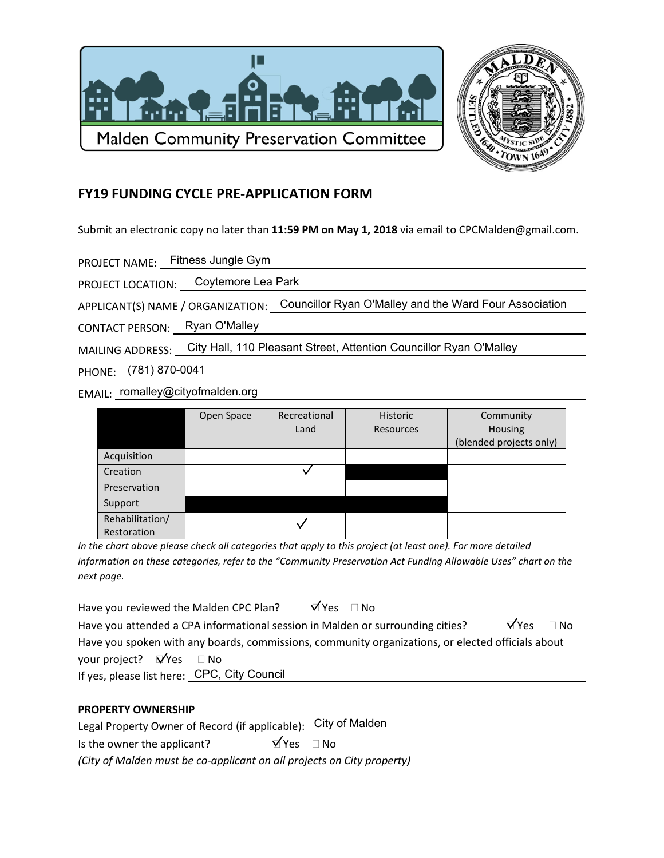



## **FY19 FUNDING CYCLE PRE-APPLICATION FORM**

Submit an electronic copy no later than 11:59 PM on May 1, 2018 via email to CPCMalden@gmail.com.

PROJECT NAME: Fitness Jungle Gym

PROJECT LOCATION: Coytemore Lea Park

APPLICANT(S) NAME / ORGANIZATION: Councillor Ryan O'Malley and the Ward Four Association

CONTACT PERSON: Ryan O'Malley

MAILING ADDRESS: City Hall, 110 Pleasant Street, Attention Councillor Ryan O'Malley

PHONE: (781) 870-0041

EMAIL: romalley@cityofmalden.org

|                 | Open Space | Recreational | Historic         | Community               |
|-----------------|------------|--------------|------------------|-------------------------|
|                 |            | Land         | <b>Resources</b> | Housing                 |
|                 |            |              |                  | (blended projects only) |
| Acquisition     |            |              |                  |                         |
| Creation        |            |              |                  |                         |
| Preservation    |            |              |                  |                         |
| Support         |            |              |                  |                         |
| Rehabilitation/ |            |              |                  |                         |
| Restoration     |            |              |                  |                         |

In the chart above please check all categories that apply to this project (at least one). For more detailed information on these categories, refer to the "Community Preservation Act Funding Allowable Uses" chart on the next page.

| Have you reviewed the Malden CPC Plan?      |                                                                                                   | $\forall$ Yes $\Box$ No |  |                              |  |
|---------------------------------------------|---------------------------------------------------------------------------------------------------|-------------------------|--|------------------------------|--|
|                                             | Have you attended a CPA informational session in Malden or surrounding cities?                    |                         |  | $\overline{M}$ Yes $\Box$ No |  |
|                                             | Have you spoken with any boards, commissions, community organizations, or elected officials about |                         |  |                              |  |
| your project? $\Box$ Yes $\Box$ No          |                                                                                                   |                         |  |                              |  |
| If yes, please list here: CPC, City Council |                                                                                                   |                         |  |                              |  |

## **PROPERTY OWNERSHIP**

Legal Property Owner of Record (if applicable): City of Malden

 $\overline{Y}$ Yes  $\Box$  No Is the owner the applicant?

(City of Malden must be co-applicant on all projects on City property)